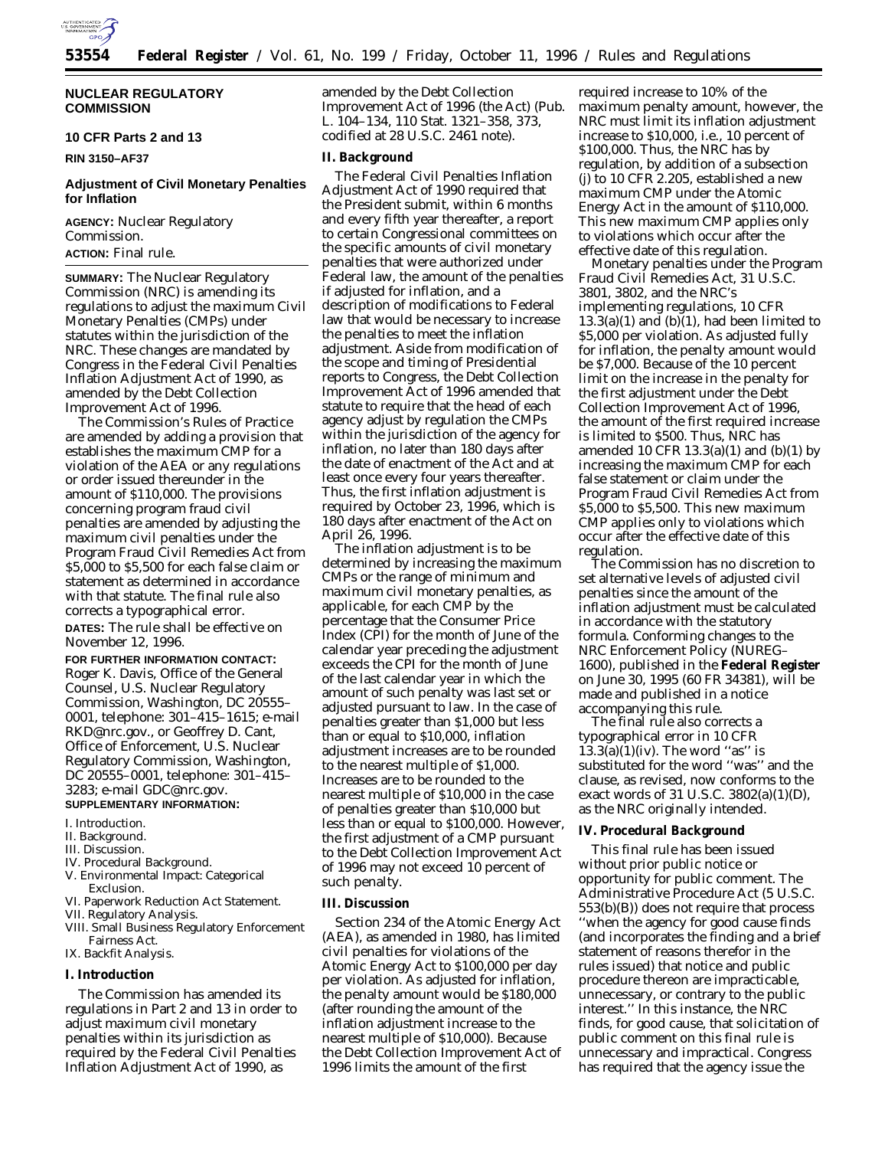

# **NUCLEAR REGULATORY COMMISSION**

**10 CFR Parts 2 and 13**

# **RIN 3150–AF37**

# **Adjustment of Civil Monetary Penalties for Inflation**

**AGENCY:** Nuclear Regulatory Commission. **ACTION:** Final rule.

**SUMMARY:** The Nuclear Regulatory Commission (NRC) is amending its regulations to adjust the maximum Civil Monetary Penalties (CMPs) under statutes within the jurisdiction of the NRC. These changes are mandated by Congress in the Federal Civil Penalties Inflation Adjustment Act of 1990, as amended by the Debt Collection Improvement Act of 1996.

The Commission's Rules of Practice are amended by adding a provision that establishes the maximum CMP for a violation of the AEA or any regulations or order issued thereunder in the amount of \$110,000. The provisions concerning program fraud civil penalties are amended by adjusting the maximum civil penalties under the Program Fraud Civil Remedies Act from \$5,000 to \$5,500 for each false claim or statement as determined in accordance with that statute. The final rule also corrects a typographical error.

**DATES:** The rule shall be effective on November 12, 1996.

**FOR FURTHER INFORMATION CONTACT:** Roger K. Davis, Office of the General Counsel, U.S. Nuclear Regulatory Commission, Washington, DC 20555– 0001, telephone: 301–415–1615; e-mail RKD@nrc.gov., or Geoffrey D. Cant, Office of Enforcement, U.S. Nuclear Regulatory Commission, Washington, DC 20555–0001, telephone: 301–415– 3283; e-mail GDC@nrc.gov. **SUPPLEMENTARY INFORMATION:**

- I. Introduction. II. Background.
- III. Discussion.
- IV. Procedural Background.
- V. Environmental Impact: Categorical Exclusion.
- VI. Paperwork Reduction Act Statement.
- VII. Regulatory Analysis.
- VIII. Small Business Regulatory Enforcement Fairness Act.
- IX. Backfit Analysis.

#### **I. Introduction**

The Commission has amended its regulations in Part 2 and 13 in order to adjust maximum civil monetary penalties within its jurisdiction as required by the Federal Civil Penalties Inflation Adjustment Act of 1990, as

amended by the Debt Collection Improvement Act of 1996 (the Act) (Pub. L. 104–134, 110 Stat. 1321–358, 373, codified at 28 U.S.C. 2461 note).

### **II. Background**

The Federal Civil Penalties Inflation Adjustment Act of 1990 required that the President submit, within 6 months and every fifth year thereafter, a report to certain Congressional committees on the specific amounts of civil monetary penalties that were authorized under Federal law, the amount of the penalties if adjusted for inflation, and a description of modifications to Federal law that would be necessary to increase the penalties to meet the inflation adjustment. Aside from modification of the scope and timing of Presidential reports to Congress, the Debt Collection Improvement Act of 1996 amended that statute to require that the head of each agency adjust by regulation the CMPs within the jurisdiction of the agency for inflation, no later than 180 days after the date of enactment of the Act and at least once every four years thereafter. Thus, the first inflation adjustment is required by October 23, 1996, which is 180 days after enactment of the Act on April 26, 1996.

The inflation adjustment is to be determined by increasing the maximum CMPs or the range of minimum and maximum civil monetary penalties, as applicable, for each CMP by the percentage that the Consumer Price Index (CPI) for the month of June of the calendar year preceding the adjustment exceeds the CPI for the month of June of the last calendar year in which the amount of such penalty was last set or adjusted pursuant to law. In the case of penalties greater than \$1,000 but less than or equal to \$10,000, inflation adjustment increases are to be rounded to the nearest multiple of \$1,000. Increases are to be rounded to the nearest multiple of \$10,000 in the case of penalties greater than \$10,000 but less than or equal to \$100,000. However, the first adjustment of a CMP pursuant to the Debt Collection Improvement Act of 1996 may not exceed 10 percent of such penalty.

#### **III. Discussion**

Section 234 of the Atomic Energy Act (AEA), as amended in 1980, has limited civil penalties for violations of the Atomic Energy Act to \$100,000 per day per violation. As adjusted for inflation, the penalty amount would be \$180,000 (after rounding the amount of the inflation adjustment increase to the nearest multiple of \$10,000). Because the Debt Collection Improvement Act of 1996 limits the amount of the first

required increase to 10% of the maximum penalty amount, however, the NRC must limit its inflation adjustment increase to \$10,000, *i.e.,* 10 percent of \$100,000. Thus, the NRC has by regulation, by addition of a subsection (j) to 10 CFR 2.205, established a new maximum CMP under the Atomic Energy Act in the amount of \$110,000. This new maximum CMP applies only to violations which occur after the effective date of this regulation.

Monetary penalties under the Program Fraud Civil Remedies Act, 31 U.S.C. 3801, 3802, and the NRC's implementing regulations, 10 CFR  $13.3(a)(1)$  and  $(b)(1)$ , had been limited to \$5,000 per violation. As adjusted fully for inflation, the penalty amount would be \$7,000. Because of the 10 percent limit on the increase in the penalty for the first adjustment under the Debt Collection Improvement Act of 1996, the amount of the first required increase is limited to \$500. Thus, NRC has amended 10 CFR 13.3(a)(1) and (b)(1) by increasing the maximum CMP for each false statement or claim under the Program Fraud Civil Remedies Act from \$5,000 to \$5,500. This new maximum CMP applies only to violations which occur after the effective date of this regulation.

The Commission has no discretion to set alternative levels of adjusted civil penalties since the amount of the inflation adjustment must be calculated in accordance with the statutory formula. Conforming changes to the NRC Enforcement Policy (NUREG– 1600), published in the **Federal Register** on June 30, 1995 (60 FR 34381), will be made and published in a notice accompanying this rule.

The final rule also corrects a typographical error in 10 CFR  $13.3(a)(1)(iv)$ . The word "as" is substituted for the word ''was'' and the clause, as revised, now conforms to the exact words of 31 U.S.C.  $3802(a)(1)(D)$ , as the NRC originally intended.

### **IV. Procedural Background**

This final rule has been issued without prior public notice or opportunity for public comment. The Administrative Procedure Act (5 U.S.C. 553(b)(B)) does not require that process ''when the agency for good cause finds (and incorporates the finding and a brief statement of reasons therefor in the rules issued) that notice and public procedure thereon are impracticable, unnecessary, or contrary to the public interest.'' In this instance, the NRC finds, for good cause, that solicitation of public comment on this final rule is unnecessary and impractical. Congress has required that the agency issue the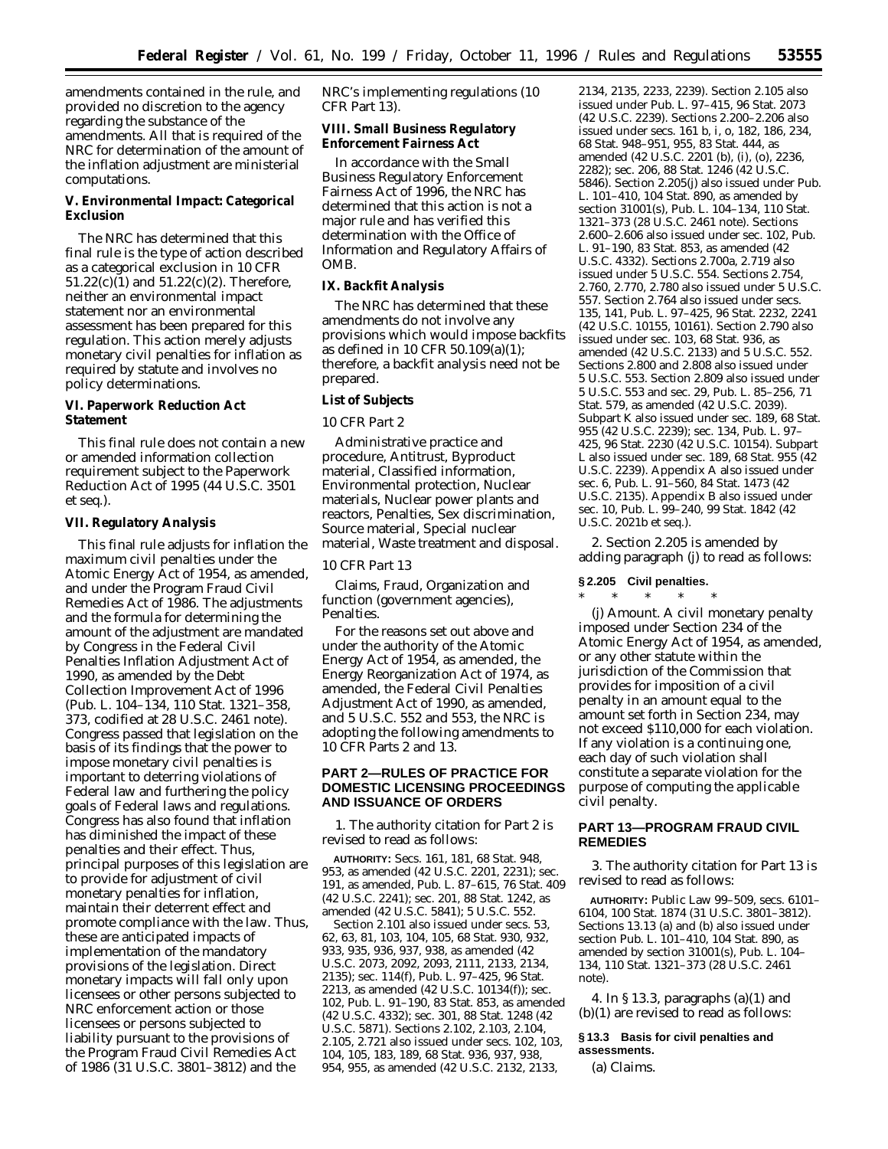amendments contained in the rule, and provided no discretion to the agency regarding the substance of the amendments. All that is required of the NRC for determination of the amount of the inflation adjustment are ministerial computations.

**V. Environmental Impact: Categorical Exclusion**

The NRC has determined that this final rule is the type of action described as a categorical exclusion in 10 CFR 51.22(c)(1) and 51.22(c)(2). Therefore, neither an environmental impact statement nor an environmental assessment has been prepared for this regulation. This action merely adjusts monetary civil penalties for inflation as required by statute and involves no policy determinations.

**VI. Paperwork Reduction Act Statement**

This final rule does not contain a new or amended information collection requirement subject to the Paperwork Reduction Act of 1995 (44 U.S.C. 3501 *et seq.*).

## **VII. Regulatory Analysis**

This final rule adjusts for inflation the maximum civil penalties under the Atomic Energy Act of 1954, as amended, and under the Program Fraud Civil Remedies Act of 1986. The adjustments and the formula for determining the amount of the adjustment are mandated by Congress in the Federal Civil Penalties Inflation Adjustment Act of 1990, as amended by the Debt Collection Improvement Act of 1996 (Pub. L. 104–134, 110 Stat. 1321–358, 373, codified at 28 U.S.C. 2461 note). Congress passed that legislation on the basis of its findings that the power to impose monetary civil penalties is important to deterring violations of Federal law and furthering the policy goals of Federal laws and regulations. Congress has also found that inflation has diminished the impact of these penalties and their effect. Thus, principal purposes of this legislation are to provide for adjustment of civil monetary penalties for inflation, maintain their deterrent effect and promote compliance with the law. Thus, these are anticipated impacts of implementation of the mandatory provisions of the legislation. Direct monetary impacts will fall only upon licensees or other persons subjected to NRC enforcement action or those licensees or persons subjected to liability pursuant to the provisions of the Program Fraud Civil Remedies Act of 1986 (31 U.S.C. 3801–3812) and the

NRC's implementing regulations (10 CFR Part 13).

**VIII. Small Business Regulatory Enforcement Fairness Act**

In accordance with the Small Business Regulatory Enforcement Fairness Act of 1996, the NRC has determined that this action is not a major rule and has verified this determination with the Office of Information and Regulatory Affairs of OMB.

### **IX. Backfit Analysis**

The NRC has determined that these amendments do not involve any provisions which would impose backfits as defined in 10 CFR 50.109(a)(1); therefore, a backfit analysis need not be prepared.

# **List of Subjects**

# *10 CFR Part 2*

Administrative practice and procedure, Antitrust, Byproduct material, Classified information, Environmental protection, Nuclear materials, Nuclear power plants and reactors, Penalties, Sex discrimination, Source material, Special nuclear material, Waste treatment and disposal.

### *10 CFR Part 13*

Claims, Fraud, Organization and function (government agencies), Penalties.

For the reasons set out above and under the authority of the Atomic Energy Act of 1954, as amended, the Energy Reorganization Act of 1974, as amended, the Federal Civil Penalties Adjustment Act of 1990, as amended, and 5 U.S.C. 552 and 553, the NRC is adopting the following amendments to 10 CFR Parts 2 and 13.

# **PART 2—RULES OF PRACTICE FOR DOMESTIC LICENSING PROCEEDINGS AND ISSUANCE OF ORDERS**

1. The authority citation for Part 2 is revised to read as follows:

**AUTHORITY:** Secs. 161, 181, 68 Stat. 948, 953, as amended (42 U.S.C. 2201, 2231); sec. 191, as amended, Pub. L. 87–615, 76 Stat. 409 (42 U.S.C. 2241); sec. 201, 88 Stat. 1242, as amended (42 U.S.C. 5841); 5 U.S.C. 552.

Section 2.101 also issued under secs. 53, 62, 63, 81, 103, 104, 105, 68 Stat. 930, 932, 933, 935, 936, 937, 938, as amended (42 U.S.C. 2073, 2092, 2093, 2111, 2133, 2134, 2135); sec. 114(f), Pub. L. 97–425, 96 Stat. 2213, as amended (42 U.S.C. 10134(f)); sec. 102, Pub. L. 91–190, 83 Stat. 853, as amended (42 U.S.C. 4332); sec. 301, 88 Stat. 1248 (42 U.S.C. 5871). Sections 2.102, 2.103, 2.104, 2.105, 2.721 also issued under secs. 102, 103, 104, 105, 183, 189, 68 Stat. 936, 937, 938, 954, 955, as amended (42 U.S.C. 2132, 2133,

2134, 2135, 2233, 2239). Section 2.105 also issued under Pub. L. 97–415, 96 Stat. 2073 (42 U.S.C. 2239). Sections 2.200–2.206 also issued under secs. 161 b, i, o, 182, 186, 234, 68 Stat. 948–951, 955, 83 Stat. 444, as amended (42 U.S.C. 2201 (b), (i), (o), 2236, 2282); sec. 206, 88 Stat. 1246 (42 U.S.C. 5846). Section 2.205(j) also issued under Pub. L. 101–410, 104 Stat. 890, as amended by section 31001(s), Pub. L. 104–134, 110 Stat. 1321–373 (28 U.S.C. 2461 note). Sections 2.600–2.606 also issued under sec. 102, Pub. L. 91–190, 83 Stat. 853, as amended (42 U.S.C. 4332). Sections 2.700a, 2.719 also issued under 5 U.S.C. 554. Sections 2.754, 2.760, 2.770, 2.780 also issued under 5 U.S.C. 557. Section 2.764 also issued under secs. 135, 141, Pub. L. 97–425, 96 Stat. 2232, 2241 (42 U.S.C. 10155, 10161). Section 2.790 also issued under sec. 103, 68 Stat. 936, as amended (42 U.S.C. 2133) and 5 U.S.C. 552. Sections 2.800 and 2.808 also issued under 5 U.S.C. 553. Section 2.809 also issued under 5 U.S.C. 553 and sec. 29, Pub. L. 85–256, 71 Stat. 579, as amended (42 U.S.C. 2039). Subpart K also issued under sec. 189, 68 Stat. 955 (42 U.S.C. 2239); sec. 134, Pub. L. 97– 425, 96 Stat. 2230 (42 U.S.C. 10154). Subpart L also issued under sec. 189, 68 Stat. 955 (42 U.S.C. 2239). Appendix A also issued under sec. 6, Pub. L. 91–560, 84 Stat. 1473 (42 U.S.C. 2135). Appendix B also issued under sec. 10, Pub. L. 99–240, 99 Stat. 1842 (42 U.S.C. 2021b et seq.).

2. Section 2.205 is amended by adding paragraph (j) to read as follows:

### **§ 2.205 Civil penalties.**

\* \* \* \* \* (j) *Amount.* A civil monetary penalty imposed under Section 234 of the Atomic Energy Act of 1954, as amended, or any other statute within the jurisdiction of the Commission that provides for imposition of a civil penalty in an amount equal to the amount set forth in Section 234, may not exceed \$110,000 for each violation. If any violation is a continuing one, each day of such violation shall constitute a separate violation for the purpose of computing the applicable civil penalty.

# **PART 13—PROGRAM FRAUD CIVIL REMEDIES**

3. The authority citation for Part 13 is revised to read as follows:

**AUTHORITY:** Public Law 99–509, secs. 6101– 6104, 100 Stat. 1874 (31 U.S.C. 3801–3812). Sections 13.13 (a) and (b) also issued under section Pub. L. 101–410, 104 Stat. 890, as amended by section 31001(s), Pub. L. 104– 134, 110 Stat. 1321–373 (28 U.S.C. 2461 note).

4. In § 13.3, paragraphs  $(a)(1)$  and (b)(1) are revised to read as follows:

**§ 13.3 Basis for civil penalties and assessments.**

(a) *Claims.*